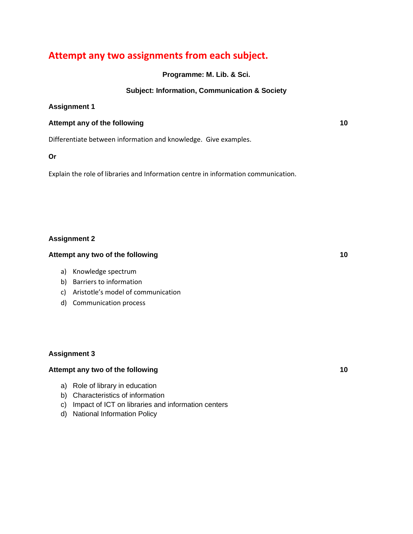# **Attempt any two assignments from each subject.**

**Programme: M. Lib. & Sci.**

### **Subject: Information, Communication & Society**

### **Assignment 1**

### **Attempt any of the following 10**

Differentiate between information and knowledge. Give examples.

### **Or**

Explain the role of libraries and Information centre in information communication.

### **Assignment 2**

### **Attempt any two of the following 10**

- a) Knowledge spectrum
- b) Barriers to information
- c) Aristotle's model of communication
- d) Communication process

### **Assignment 3**

### **Attempt any two of the following 10**

- a) Role of library in education
- b) Characteristics of information
- c) Impact of ICT on libraries and information centers
- d) National Information Policy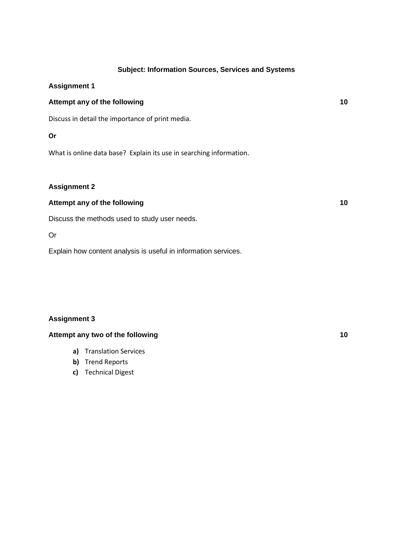### **Subject: Information Sources, Services and Systems**

### **Assignment 1**

### **Attempt any of the following 10**

Discuss in detail the importance of print media.

### **Or**

What is online data base? Explain its use in searching information.

### **Assignment 2**

### **Attempt any of the following 10**

Discuss the methods used to study user needs.

### Or

Explain how content analysis is useful in information services.

### **Assignment 3**

### **Attempt any two of the following 10**

- **a)** Translation Services
- **b)** Trend Reports
- **c)** Technical Digest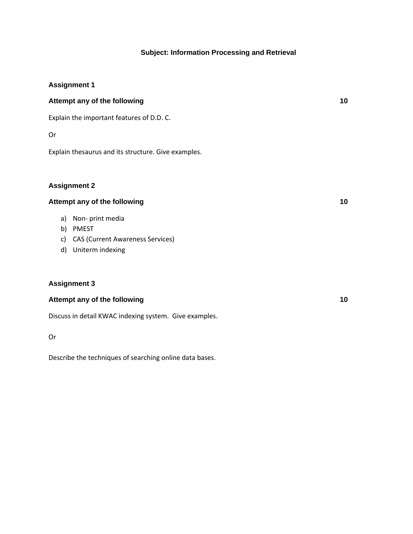### **Subject: Information Processing and Retrieval**

### **Assignment 1**

# **Attempt any of the following 10**

Explain the important features of D.D. C.

### Or

Explain thesaurus and its structure. Give examples.

### **Assignment 2**

### **Attempt any of the following 10**

- a) Non- print media
- b) PMEST
- c) CAS (Current Awareness Services)
- d) Uniterm indexing

### **Assignment 3**

### **Attempt any of the following 10**

Discuss in detail KWAC indexing system. Give examples.

Or

Describe the techniques of searching online data bases.

| ۰.<br>v |                |
|---------|----------------|
|         | ۰.<br>M.<br>۰. |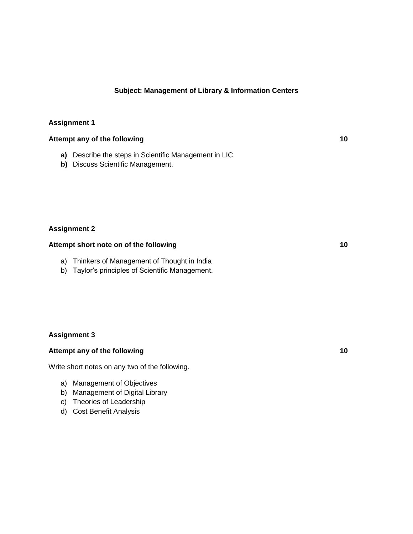### **Subject: Management of Library & Information Centers**

### **Assignment 1**

## **Attempt any of the following 10**

- **a)** Describe the steps in Scientific Management in LIC
- **b)** Discuss Scientific Management.

### **Assignment 2**

# **Attempt short note on of the following 10**

- a) Thinkers of Management of Thought in India
- b) Taylor's principles of Scientific Management.

#### **Assignment 3**

### **Attempt any of the following 10**

Write short notes on any two of the following.

- a) Management of Objectives
- b) Management of Digital Library
- c) Theories of Leadership
- d) Cost Benefit Analysis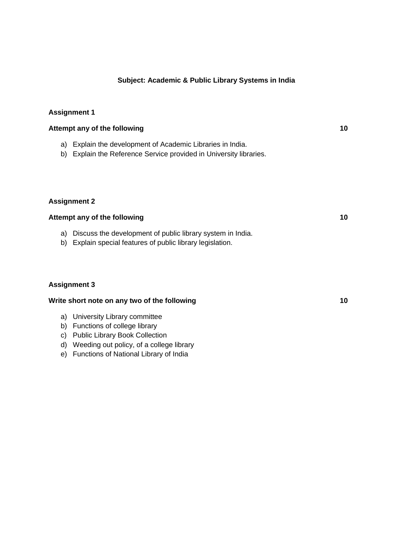### **Subject: Academic & Public Library Systems in India**

### **Assignment 1**

# **Attempt any of the following 10**

- a) Explain the development of Academic Libraries in India.
- b) Explain the Reference Service provided in University libraries.

### **Assignment 2**

### **Attempt any of the following 10**

- a) Discuss the development of public library system in India.
- b) Explain special features of public library legislation.

### **Assignment 3**

### **Write short note on any two of the following 10**

- a) University Library committee
- b) Functions of college library
- c) Public Library Book Collection
- d) Weeding out policy, of a college library
- e) Functions of National Library of India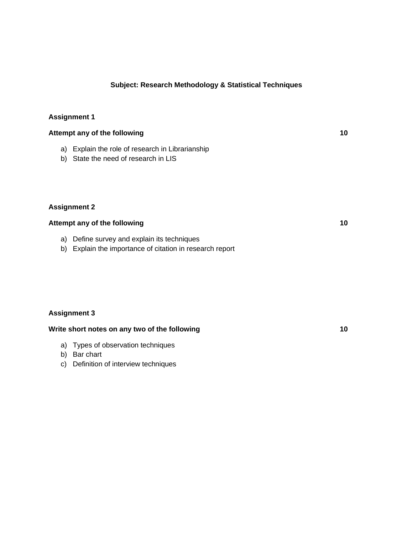### **Subject: Research Methodology & Statistical Techniques**

### **Assignment 1**

## **Attempt any of the following 10**

- a) Explain the role of research in Librarianship
- b) State the need of research in LIS

### **Assignment 2**

# **Attempt any of the following 10**

- a) Define survey and explain its techniques
- b) Explain the importance of citation in research report

### **Assignment 3**

### **Write short notes on any two of the following 10**

- a) Types of observation techniques
- b) Bar chart
- c) Definition of interview techniques